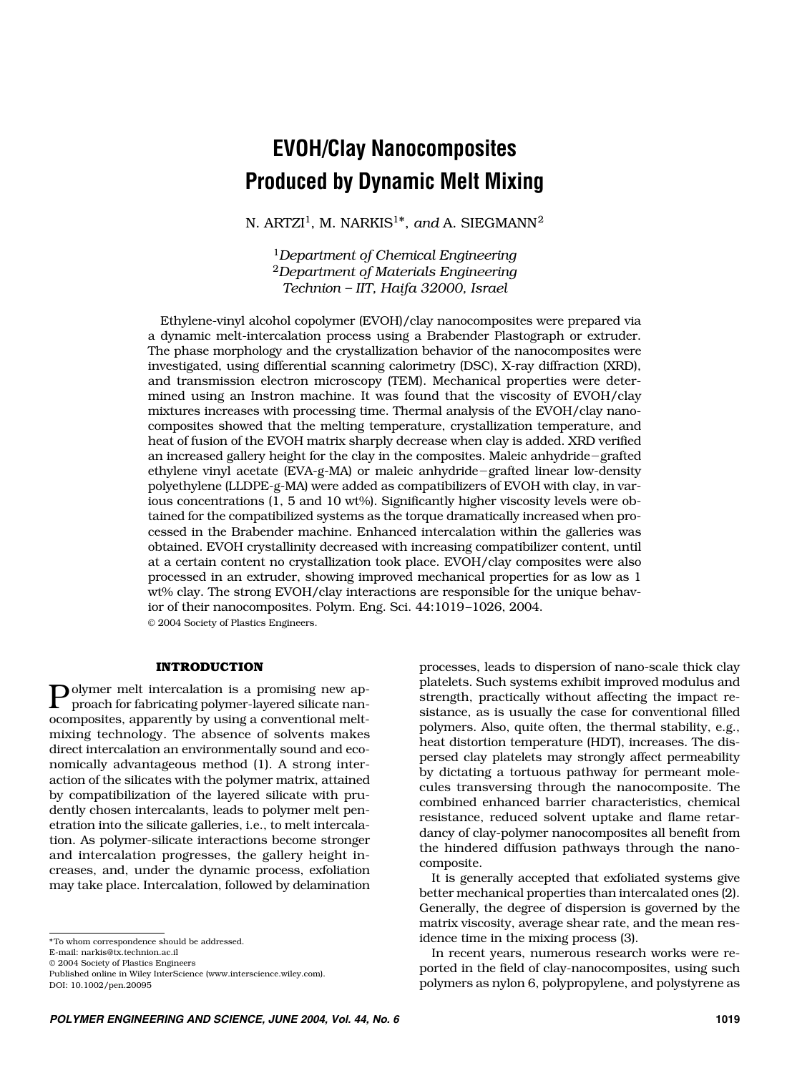# **EVOH/Clay Nanocomposites Produced by Dynamic Melt Mixing**

N. ARTZI<sup>1</sup>, M. NARKIS<sup>1\*</sup>, and A. SIEGMANN<sup>2</sup>

<sup>1</sup>*Department of Chemical Engineering* <sup>2</sup>*Department of Materials Engineering Technion – IIT, Haifa 32000, Israel*

Ethylene-vinyl alcohol copolymer (EVOH)/clay nanocomposites were prepared via a dynamic melt-intercalation process using a Brabender Plastograph or extruder. The phase morphology and the crystallization behavior of the nanocomposites were investigated, using differential scanning calorimetry (DSC), X-ray diffraction (XRD), and transmission electron microscopy (TEM). Mechanical properties were determined using an Instron machine. It was found that the viscosity of EVOH/clay mixtures increases with processing time. Thermal analysis of the EVOH/clay nanocomposites showed that the melting temperature, crystallization temperature, and heat of fusion of the EVOH matrix sharply decrease when clay is added. XRD verified an increased gallery height for the clay in the composites. Maleic anhydride-grafted ethylene vinyl acetate (EVA-g-MA) or maleic anhydride-grafted linear low-density polyethylene (LLDPE-g-MA) were added as compatibilizers of EVOH with clay, in various concentrations (1, 5 and 10 wt%). Significantly higher viscosity levels were obtained for the compatibilized systems as the torque dramatically increased when processed in the Brabender machine. Enhanced intercalation within the galleries was obtained. EVOH crystallinity decreased with increasing compatibilizer content, until at a certain content no crystallization took place. EVOH/clay composites were also processed in an extruder, showing improved mechanical properties for as low as 1 wt% clay. The strong EVOH/clay interactions are responsible for the unique behavior of their nanocomposites. Polym. Eng. Sci. 44:1019–1026, 2004. © 2004 Society of Plastics Engineers.

## **INTRODUCTION**

Polymer melt intercalation is a promising new approach for fabrication is proach for fabricating polymer-layered silicate nanocomposites, apparently by using a conventional meltmixing technology. The absence of solvents makes direct intercalation an environmentally sound and economically advantageous method (1). A strong interaction of the silicates with the polymer matrix, attained by compatibilization of the layered silicate with prudently chosen intercalants, leads to polymer melt penetration into the silicate galleries, i.e., to melt intercalation. As polymer-silicate interactions become stronger and intercalation progresses, the gallery height increases, and, under the dynamic process, exfoliation may take place. Intercalation, followed by delamination

processes, leads to dispersion of nano-scale thick clay platelets. Such systems exhibit improved modulus and strength, practically without affecting the impact resistance, as is usually the case for conventional filled polymers. Also, quite often, the thermal stability, e.g., heat distortion temperature (HDT), increases. The dispersed clay platelets may strongly affect permeability by dictating a tortuous pathway for permeant molecules transversing through the nanocomposite. The combined enhanced barrier characteristics, chemical resistance, reduced solvent uptake and flame retardancy of clay-polymer nanocomposites all benefit from the hindered diffusion pathways through the nanocomposite.

It is generally accepted that exfoliated systems give better mechanical properties than intercalated ones (2). Generally, the degree of dispersion is governed by the matrix viscosity, average shear rate, and the mean residence time in the mixing process (3).

In recent years, numerous research works were reported in the field of clay-nanocomposites, using such polymers as nylon 6, polypropylene, and polystyrene as

<sup>\*</sup>To whom correspondence should be addressed.

E-mail: narkis@tx.technion.ac.il

<sup>© 2004</sup> Society of Plastics Engineers

Published online in Wiley InterScience (www.interscience.wiley.com). DOI: 10.1002/pen.20095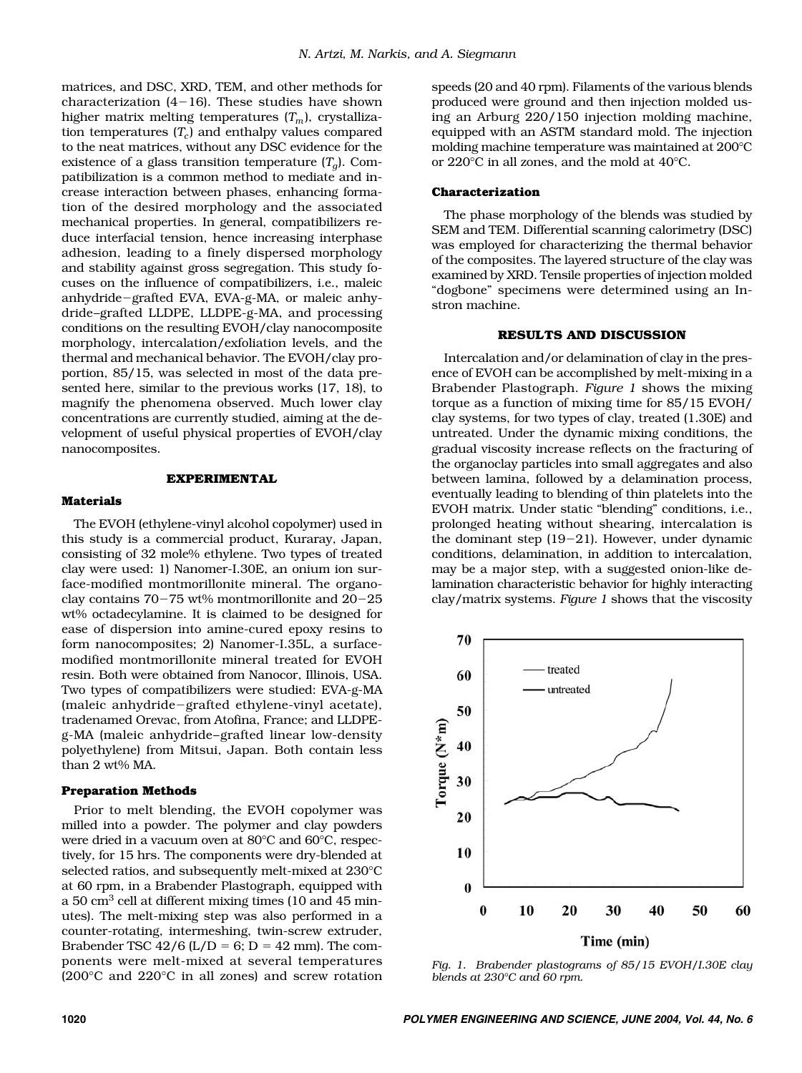matrices, and DSC, XRD, TEM, and other methods for characterization (4-16). These studies have shown higher matrix melting temperatures  $(T_m)$ , crystallization temperatures  $(T_c)$  and enthalpy values compared to the neat matrices, without any DSC evidence for the existence of a glass transition temperature  $(T_a)$ . Compatibilization is a common method to mediate and increase interaction between phases, enhancing formation of the desired morphology and the associated mechanical properties. In general, compatibilizers reduce interfacial tension, hence increasing interphase adhesion, leading to a finely dispersed morphology and stability against gross segregation. This study focuses on the influence of compatibilizers, i.e., maleic anhydride-grafted EVA, EVA-g-MA, or maleic anhydride–grafted LLDPE, LLDPE-g-MA, and processing conditions on the resulting EVOH/clay nanocomposite morphology, intercalation/exfoliation levels, and the thermal and mechanical behavior. The EVOH/clay proportion, 85/15, was selected in most of the data presented here, similar to the previous works (17, 18), to magnify the phenomena observed. Much lower clay concentrations are currently studied, aiming at the development of useful physical properties of EVOH/clay nanocomposites.

#### **EXPERIMENTAL**

### **Materials**

The EVOH (ethylene-vinyl alcohol copolymer) used in this study is a commercial product, Kuraray, Japan, consisting of 32 mole% ethylene. Two types of treated clay were used: 1) Nanomer-I.30E, an onium ion surface-modified montmorillonite mineral. The organoclay contains 70-75 wt% montmorillonite and 20-25 wt% octadecylamine. It is claimed to be designed for ease of dispersion into amine-cured epoxy resins to form nanocomposites; 2) Nanomer-I.35L, a surfacemodified montmorillonite mineral treated for EVOH resin. Both were obtained from Nanocor, Illinois, USA. Two types of compatibilizers were studied: EVA-g-MA (maleic anhydride-grafted ethylene-vinyl acetate), tradenamed Orevac, from Atofina, France; and LLDPEg-MA (maleic anhydride–grafted linear low-density polyethylene) from Mitsui, Japan. Both contain less than 2 wt% MA.

## **Preparation Methods**

Prior to melt blending, the EVOH copolymer was milled into a powder. The polymer and clay powders were dried in a vacuum oven at 80°C and 60°C, respectively, for 15 hrs. The components were dry-blended at selected ratios, and subsequently melt-mixed at 230°C at 60 rpm, in a Brabender Plastograph, equipped with a  $50 \text{ cm}^3$  cell at different mixing times (10 and  $45 \text{ min}$ utes). The melt-mixing step was also performed in a counter-rotating, intermeshing, twin-screw extruder, Brabender TSC  $42/6$  (L/D = 6; D = 42 mm). The components were melt-mixed at several temperatures (200°C and 220°C in all zones) and screw rotation

speeds (20 and 40 rpm). Filaments of the various blends produced were ground and then injection molded using an Arburg 220/150 injection molding machine, equipped with an ASTM standard mold. The injection molding machine temperature was maintained at 200°C or 220°C in all zones, and the mold at 40°C.

#### **Characterization**

The phase morphology of the blends was studied by SEM and TEM. Differential scanning calorimetry (DSC) was employed for characterizing the thermal behavior of the composites. The layered structure of the clay was examined by XRD. Tensile properties of injection molded "dogbone" specimens were determined using an Instron machine.

#### **RESULTS AND DISCUSSION**

Intercalation and/or delamination of clay in the presence of EVOH can be accomplished by melt-mixing in a Brabender Plastograph. *Figure 1* shows the mixing torque as a function of mixing time for 85/15 EVOH/ clay systems, for two types of clay, treated (1.30E) and untreated. Under the dynamic mixing conditions, the gradual viscosity increase reflects on the fracturing of the organoclay particles into small aggregates and also between lamina, followed by a delamination process, eventually leading to blending of thin platelets into the EVOH matrix. Under static "blending" conditions, i.e., prolonged heating without shearing, intercalation is the dominant step (19-21). However, under dynamic conditions, delamination, in addition to intercalation, may be a major step, with a suggested onion-like delamination characteristic behavior for highly interacting clay/matrix systems. *Figure 1* shows that the viscosity



*Fig. 1. Brabender plastograms of 85/15 EVOH/I.30E clay blends at 230°C and 60 rpm.*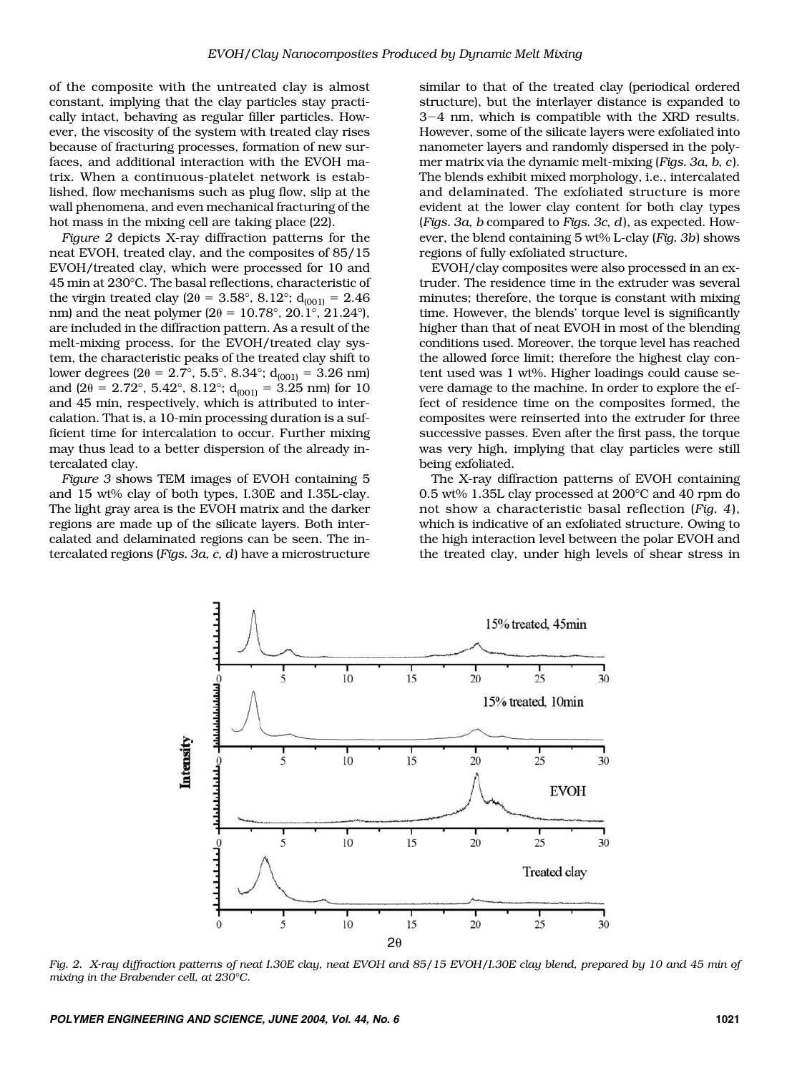of the composite with the untreated clay is almost constant, implying that the clay particles stay practically intact, behaving as regular filler particles. However, the viscosity of the system with treated clay rises because of fracturing processes, formation of new surfaces, and additional interaction with the EVOH matrix. When a continuous-platelet network is established, flow mechanisms such as plug flow, slip at the wall phenomena, and even mechanical fracturing of the hot mass in the mixing cell are taking place (22).

*Figure 2* depicts X-ray diffraction patterns for the neat EVOH, treated clay, and the composites of 85/15 EVOH/treated clay, which were processed for 10 and 45 min at 230°C. The basal reflections, characteristic of the virgin treated clay (2 $\theta$  = 3.58°, 8.12°; d<sub>(001)</sub> = 2.46 nm) and the neat polymer ( $2\theta = 10.78^{\circ}$ ,  $20.1^{\circ}$ ,  $21.24^{\circ}$ ), are included in the diffraction pattern. As a result of the melt-mixing process, for the EVOH/treated clay system, the characteristic peaks of the treated clay shift to lower degrees (2 $\theta$  = 2.7°, 5.5°, 8.34°; d<sub>(001)</sub> = 3.26 nm) and (2 $\theta$  = 2.72°, 5.42°, 8.12°; d<sub>(001)</sub> = 3.25 nm) for 10 and 45 min, respectively, which is attributed to intercalation. That is, a 10-min processing duration is a sufficient time for intercalation to occur. Further mixing may thus lead to a better dispersion of the already intercalated clay.

*Figure 3* shows TEM images of EVOH containing 5 and 15 wt% clay of both types, I.30E and I.35L-clay. The light gray area is the EVOH matrix and the darker regions are made up of the silicate layers. Both intercalated and delaminated regions can be seen. The intercalated regions (*Figs. 3a*, *c*, *d*) have a microstructure

similar to that of the treated clay (periodical ordered structure), but the interlayer distance is expanded to 3-4 nm, which is compatible with the XRD results. However, some of the silicate layers were exfoliated into nanometer layers and randomly dispersed in the polymer matrix via the dynamic melt-mixing (*Figs. 3a*, *b*, *c*). The blends exhibit mixed morphology, i.e., intercalated and delaminated. The exfoliated structure is more evident at the lower clay content for both clay types (*Figs. 3a*, *b* compared to *Figs. 3c*, *d*), as expected. However, the blend containing 5 wt% L-clay (*Fig. 3b*) shows regions of fully exfoliated structure.

EVOH/clay composites were also processed in an extruder. The residence time in the extruder was several minutes; therefore, the torque is constant with mixing time. However, the blends' torque level is significantly higher than that of neat EVOH in most of the blending conditions used. Moreover, the torque level has reached the allowed force limit; therefore the highest clay content used was 1 wt%. Higher loadings could cause severe damage to the machine. In order to explore the effect of residence time on the composites formed, the composites were reinserted into the extruder for three successive passes. Even after the first pass, the torque was very high, implying that clay particles were still being exfoliated.

The X-ray diffraction patterns of EVOH containing 0.5 wt% 1.35L clay processed at 200°C and 40 rpm do not show a characteristic basal reflection (*Fig. 4*), which is indicative of an exfoliated structure. Owing to the high interaction level between the polar EVOH and the treated clay, under high levels of shear stress in



*Fig. 2. X-ray diffraction patterns of neat I.30E clay, neat EVOH and 85/15 EVOH/I.30E clay blend, prepared by 10 and 45 min of mixing in the Brabender cell, at 230°C.*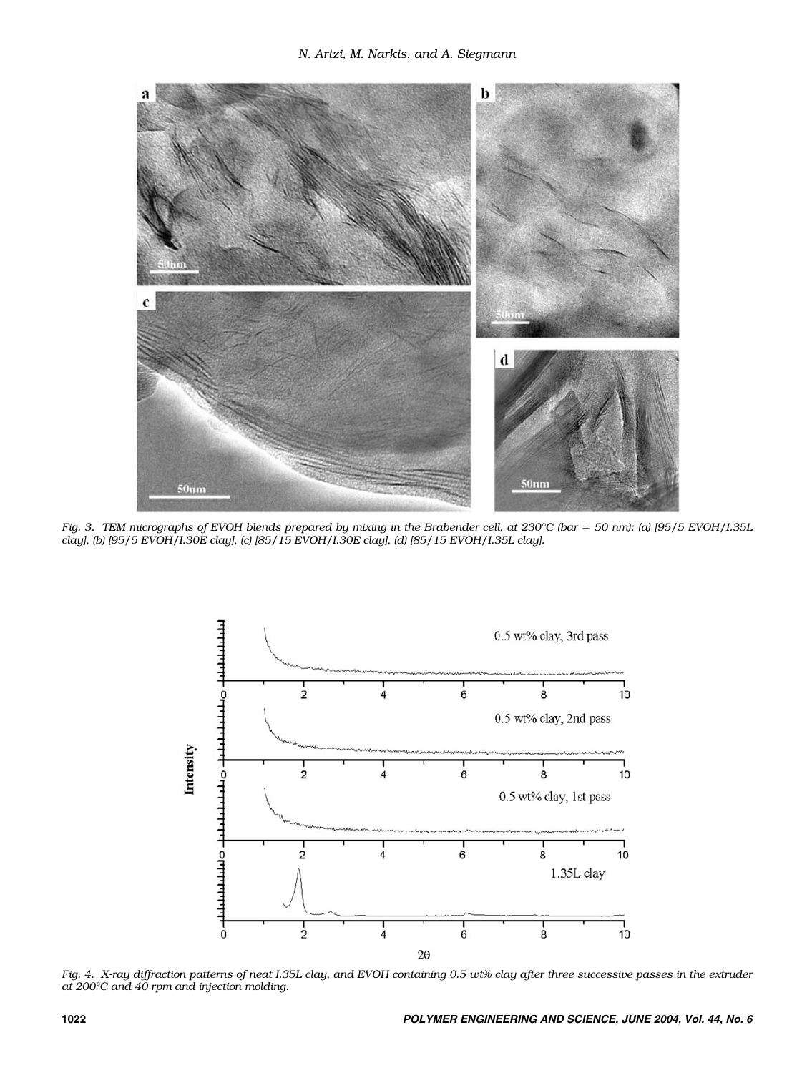

*Fig. 3. TEM micrographs of EVOH blends prepared by mixing in the Brabender cell, at 230°C (bar = 50 nm): (a) [95/5 EVOH/I.35L clay], (b) [95/5 EVOH/I.30E clay], (c) [85/15 EVOH/I.30E clay], (d) [85/15 EVOH/I.35L clay].*



*Fig. 4. X-ray diffraction patterns of neat I.35L clay, and EVOH containing 0.5 wt% clay after three successive passes in the extruder at 200°C and 40 rpm and injection molding.*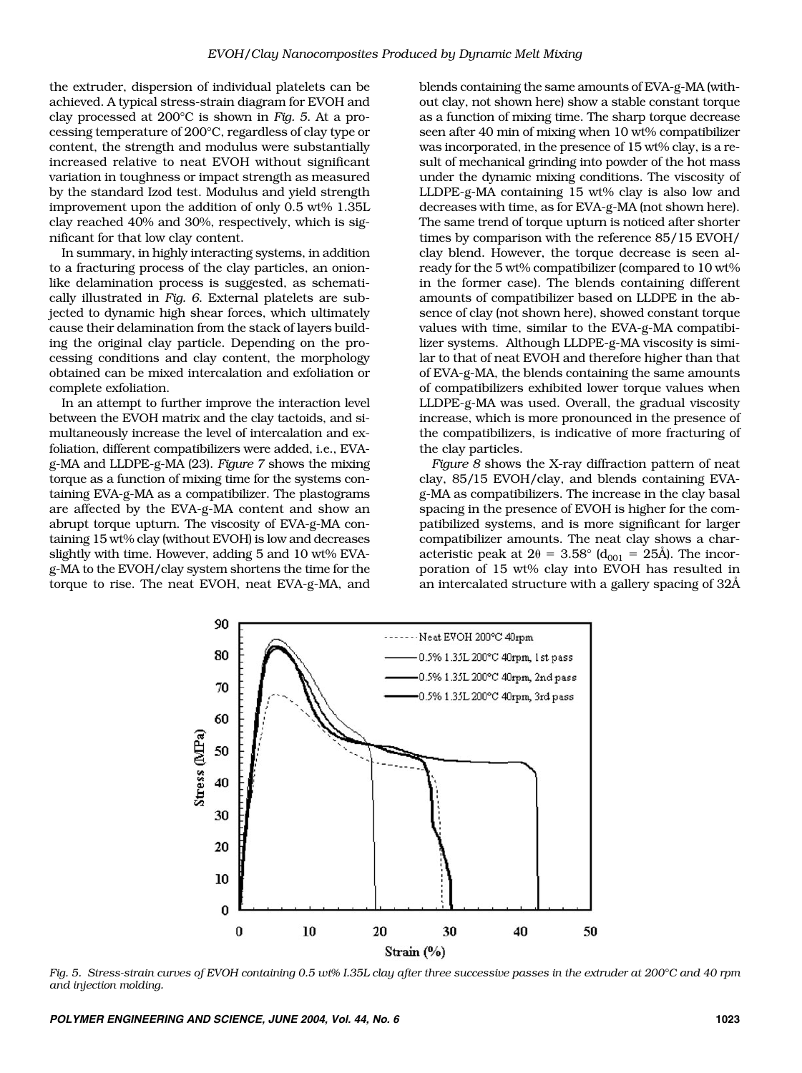the extruder, dispersion of individual platelets can be achieved. A typical stress-strain diagram for EVOH and clay processed at 200°C is shown in *Fig. 5*. At a processing temperature of 200°C, regardless of clay type or content, the strength and modulus were substantially increased relative to neat EVOH without significant variation in toughness or impact strength as measured by the standard Izod test. Modulus and yield strength improvement upon the addition of only 0.5 wt% 1.35L clay reached 40% and 30%, respectively, which is significant for that low clay content.

In summary, in highly interacting systems, in addition to a fracturing process of the clay particles, an onionlike delamination process is suggested, as schematically illustrated in *Fig. 6*. External platelets are subjected to dynamic high shear forces, which ultimately cause their delamination from the stack of layers building the original clay particle. Depending on the processing conditions and clay content, the morphology obtained can be mixed intercalation and exfoliation or complete exfoliation.

In an attempt to further improve the interaction level between the EVOH matrix and the clay tactoids, and simultaneously increase the level of intercalation and exfoliation, different compatibilizers were added, i.e., EVAg-MA and LLDPE-g-MA (23). *Figure 7* shows the mixing torque as a function of mixing time for the systems containing EVA-g-MA as a compatibilizer. The plastograms are affected by the EVA-g-MA content and show an abrupt torque upturn. The viscosity of EVA-g-MA containing 15 wt% clay (without EVOH) is low and decreases slightly with time. However, adding 5 and 10 wt% EVAg-MA to the EVOH/clay system shortens the time for the torque to rise. The neat EVOH, neat EVA-g-MA, and blends containing the same amounts of EVA-g-MA (without clay, not shown here) show a stable constant torque as a function of mixing time. The sharp torque decrease seen after 40 min of mixing when 10 wt% compatibilizer was incorporated, in the presence of 15 wt% clay, is a result of mechanical grinding into powder of the hot mass under the dynamic mixing conditions. The viscosity of LLDPE-g-MA containing 15 wt% clay is also low and decreases with time, as for EVA-g-MA (not shown here). The same trend of torque upturn is noticed after shorter times by comparison with the reference 85/15 EVOH/ clay blend. However, the torque decrease is seen already for the 5 wt% compatibilizer (compared to 10 wt% in the former case). The blends containing different amounts of compatibilizer based on LLDPE in the absence of clay (not shown here), showed constant torque values with time, similar to the EVA-g-MA compatibilizer systems. Although LLDPE-g-MA viscosity is similar to that of neat EVOH and therefore higher than that of EVA-g-MA, the blends containing the same amounts of compatibilizers exhibited lower torque values when LLDPE-g-MA was used. Overall, the gradual viscosity increase, which is more pronounced in the presence of the compatibilizers, is indicative of more fracturing of the clay particles.

*Figure 8* shows the X-ray diffraction pattern of neat clay, 85/15 EVOH/clay, and blends containing EVAg-MA as compatibilizers. The increase in the clay basal spacing in the presence of EVOH is higher for the compatibilized systems, and is more significant for larger compatibilizer amounts. The neat clay shows a characteristic peak at  $2\theta = 3.58^{\circ}$  (d<sub>001</sub> = 25Å). The incorporation of 15 wt% clay into EVOH has resulted in an intercalated structure with a gallery spacing of 32Å



*Fig. 5. Stress-strain curves of EVOH containing 0.5 wt% I.35L clay after three successive passes in the extruder at 200°C and 40 rpm and injection molding.*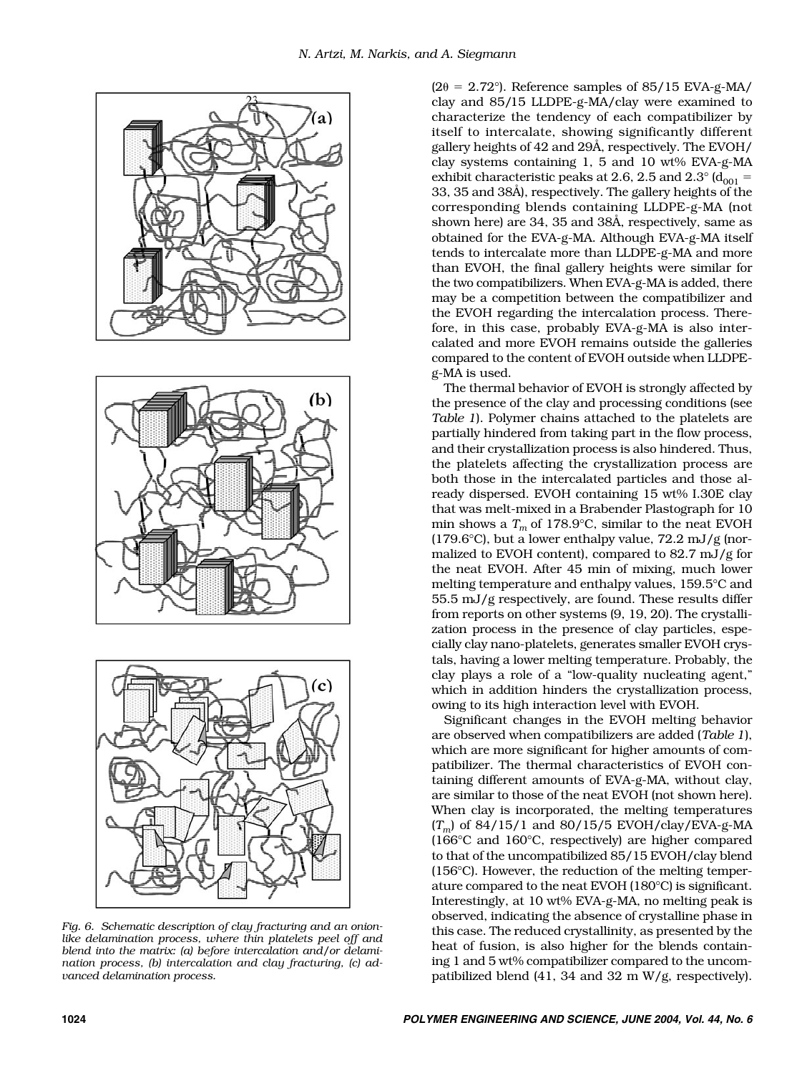





*Fig. 6. Schematic description of clay fracturing and an onionlike delamination process, where thin platelets peel off and blend into the matrix: (a) before intercalation and/or delamination process, (b) intercalation and clay fracturing, (c) advanced delamination process.*

 $(2\theta = 2.72^{\circ})$ . Reference samples of 85/15 EVA-g-MA/ clay and 85/15 LLDPE-g-MA/clay were examined to characterize the tendency of each compatibilizer by itself to intercalate, showing significantly different gallery heights of 42 and 29Å, respectively. The EVOH/ clay systems containing 1, 5 and 10 wt% EVA-g-MA exhibit characteristic peaks at 2.6, 2.5 and 2.3 $^{\circ}$  (d<sub>001</sub> = 33, 35 and 38Å), respectively. The gallery heights of the corresponding blends containing LLDPE-g-MA (not shown here) are 34, 35 and 38Å, respectively, same as obtained for the EVA-g-MA. Although EVA-g-MA itself tends to intercalate more than LLDPE-g-MA and more than EVOH, the final gallery heights were similar for the two compatibilizers. When EVA-g-MA is added, there may be a competition between the compatibilizer and the EVOH regarding the intercalation process. Therefore, in this case, probably EVA-g-MA is also intercalated and more EVOH remains outside the galleries compared to the content of EVOH outside when LLDPEg-MA is used.

The thermal behavior of EVOH is strongly affected by the presence of the clay and processing conditions (see *Table 1*). Polymer chains attached to the platelets are partially hindered from taking part in the flow process, and their crystallization process is also hindered. Thus, the platelets affecting the crystallization process are both those in the intercalated particles and those already dispersed. EVOH containing 15 wt% I.30E clay that was melt-mixed in a Brabender Plastograph for 10 min shows a  $T_m$  of 178.9°C, similar to the neat EVOH (179.6°C), but a lower enthalpy value,  $72.2 \text{ mJ/g}$  (normalized to EVOH content), compared to 82.7 mJ/g for the neat EVOH. After 45 min of mixing, much lower melting temperature and enthalpy values, 159.5°C and 55.5 mJ/g respectively, are found. These results differ from reports on other systems (9, 19, 20). The crystallization process in the presence of clay particles, especially clay nano-platelets, generates smaller EVOH crystals, having a lower melting temperature. Probably, the clay plays a role of a "low-quality nucleating agent," which in addition hinders the crystallization process, owing to its high interaction level with EVOH.

Significant changes in the EVOH melting behavior are observed when compatibilizers are added (*Table 1*), which are more significant for higher amounts of compatibilizer. The thermal characteristics of EVOH containing different amounts of EVA-g-MA, without clay, are similar to those of the neat EVOH (not shown here). When clay is incorporated, the melting temperatures (*Tm*) of 84/15/1 and 80/15/5 EVOH/clay/EVA-g-MA (166°C and 160°C, respectively) are higher compared to that of the uncompatibilized 85/15 EVOH/clay blend (156°C). However, the reduction of the melting temperature compared to the neat EVOH (180°C) is significant. Interestingly, at 10 wt% EVA-g-MA, no melting peak is observed, indicating the absence of crystalline phase in this case. The reduced crystallinity, as presented by the heat of fusion, is also higher for the blends containing 1 and 5 wt% compatibilizer compared to the uncompatibilized blend (41, 34 and 32 m W/g, respectively).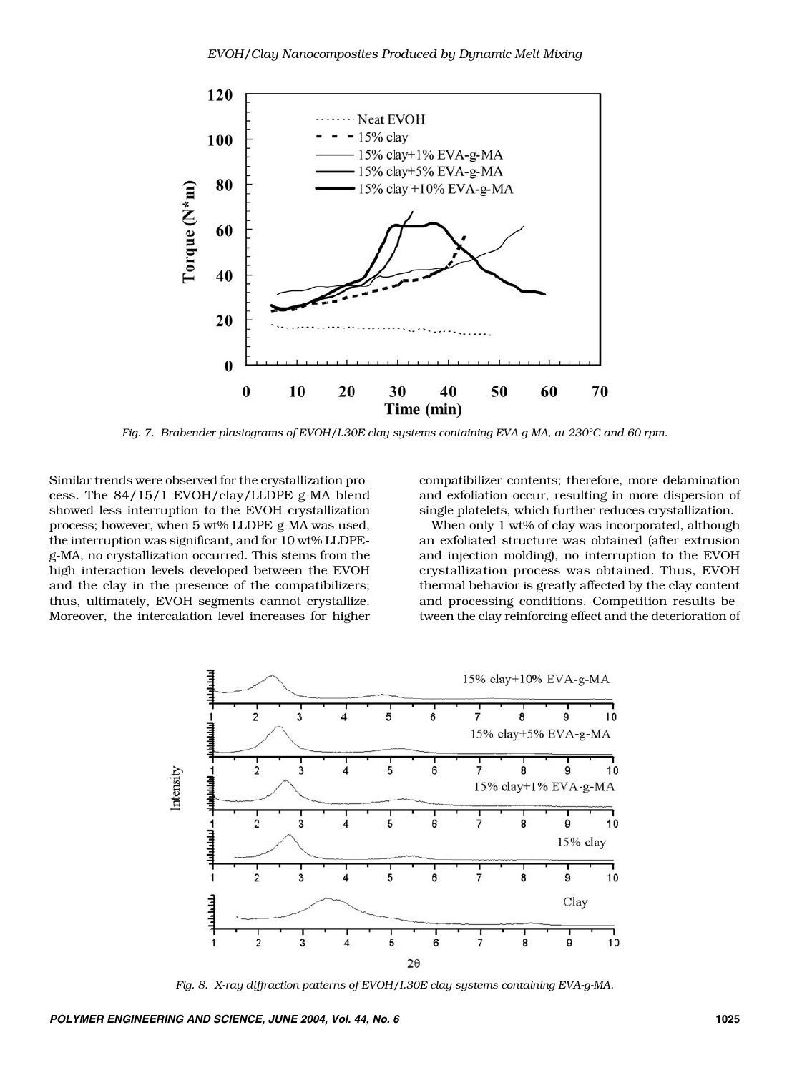

*Fig. 7. Brabender plastograms of EVOH/I.30E clay systems containing EVA-g-MA, at 230°C and 60 rpm.*

Similar trends were observed for the crystallization process. The 84/15/1 EVOH/clay/LLDPE-g-MA blend showed less interruption to the EVOH crystallization process; however, when 5 wt% LLDPE-g-MA was used, the interruption was significant, and for 10 wt% LLDPEg-MA, no crystallization occurred. This stems from the high interaction levels developed between the EVOH and the clay in the presence of the compatibilizers; thus, ultimately, EVOH segments cannot crystallize. Moreover, the intercalation level increases for higher

compatibilizer contents; therefore, more delamination and exfoliation occur, resulting in more dispersion of single platelets, which further reduces crystallization.

When only 1 wt% of clay was incorporated, although an exfoliated structure was obtained (after extrusion and injection molding), no interruption to the EVOH crystallization process was obtained. Thus, EVOH thermal behavior is greatly affected by the clay content and processing conditions. Competition results between the clay reinforcing effect and the deterioration of



*Fig. 8. X-ray diffraction patterns of EVOH/I.30E clay systems containing EVA-g-MA.*